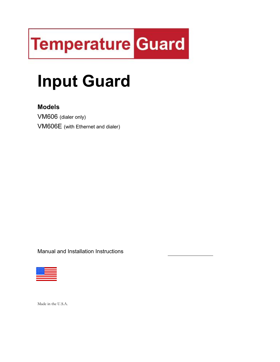# **Temperature Guard**

## Input Guard

## Models

VM606 (dialer only) VM606E (with Ethernet and dialer)

Manual and Installation Instructions



Made in the U.S.A.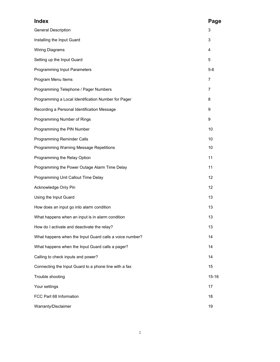| <b>Index</b>                                            | Page           |
|---------------------------------------------------------|----------------|
| <b>General Description</b>                              | 3              |
| Installing the Input Guard                              | 3              |
| <b>Wiring Diagrams</b>                                  | 4              |
| Setting up the Input Guard                              | 5              |
| <b>Programming Input Parameters</b>                     | $5-6$          |
| Program Menu Items                                      | $\overline{7}$ |
| Programming Telephone / Pager Numbers                   | 7              |
| Programming a Local Identification Number for Pager     | 8              |
| Recording a Personal Identification Message             | 9              |
| Programming Number of Rings                             | 9              |
| Programming the PIN Number                              | 10             |
| <b>Programming Reminder Calls</b>                       | 10             |
| Programming Warning Message Repetitions                 | 10             |
| Programming the Relay Option                            | 11             |
| Programming the Power Outage Alarm Time Delay           | 11             |
| Programming Unit Callout Time Delay                     | 12             |
| Acknowledge Only Pin                                    | 12             |
| Using the Input Guard                                   | 13             |
| How does an input go into alarm condition               | 13             |
| What happens when an input is in alarm condition        | 13             |
| How do I activate and deactivate the relay?             | 13             |
| What happens when the Input Guard calls a voice number? | 14             |
| What happens when the Input Guard calls a pager?        | 14             |
| Calling to check inputs and power?                      | 14             |
| Connecting the Input Guard to a phone line with a fax   | 15             |
| Trouble shooting                                        | $15 - 16$      |
| Your settings                                           | 17             |
| FCC Part 68 Information                                 | 18             |
| Warranty/Disclaimer                                     | 19             |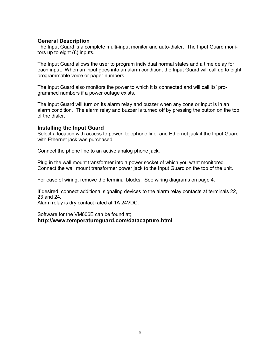## General Description

The Input Guard is a complete multi-input monitor and auto-dialer. The Input Guard monitors up to eight (8) inputs.

The Input Guard allows the user to program individual normal states and a time delay for each input. When an input goes into an alarm condition, the Input Guard will call up to eight programmable voice or pager numbers.

The Input Guard also monitors the power to which it is connected and will call its' programmed numbers if a power outage exists.

The Input Guard will turn on its alarm relay and buzzer when any zone or input is in an alarm condition. The alarm relay and buzzer is turned off by pressing the button on the top of the dialer.

#### Installing the Input Guard

Select a location with access to power, telephone line, and Ethernet jack if the Input Guard with Ethernet jack was purchased.

Connect the phone line to an active analog phone jack.

Plug in the wall mount transformer into a power socket of which you want monitored. Connect the wall mount transformer power jack to the Input Guard on the top of the unit.

For ease of wiring, remove the terminal blocks. See wiring diagrams on page 4.

If desired, connect additional signaling devices to the alarm relay contacts at terminals 22, 23 and 24.

Alarm relay is dry contact rated at 1A 24VDC.

Software for the VM606E can be found at; http://www.temperatureguard.com/datacapture.html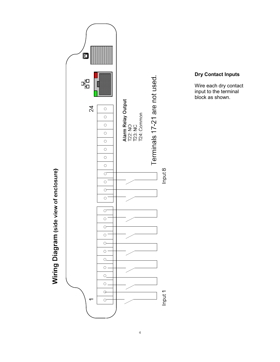

## Dry Contact Inputs

Wire each dry contact input to the terminal block as shown.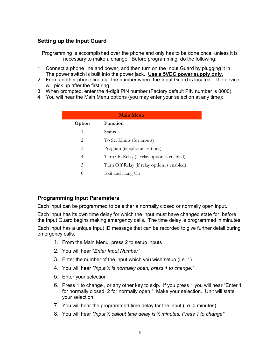## Setting up the Input Guard

Programming is accomplished over the phone and only has to be done once, unless it is necessary to make a change. Before programming, do the following:

- 1 Connect a phone line and power, and then turn on the Input Guard by plugging it in. The power switch is built into the power jack. Use a 5VDC power supply only.
- 2 From another phone line dial the number where the Input Guard is located. The device will pick up after the first ring.
- 3 When prompted, enter the 4-digit PIN number (Factory default PIN number is 0000).
- 4 You will hear the Main Menu options (you may enter your selection at any time):

| <b>Main Menu</b>              |                                             |  |  |  |
|-------------------------------|---------------------------------------------|--|--|--|
| Option                        | <b>Function</b>                             |  |  |  |
| 1                             | Status                                      |  |  |  |
| $\mathfrak{D}_{\mathfrak{p}}$ | To Set Limits (for inputs)                  |  |  |  |
| 3                             | Program (telephone settings)                |  |  |  |
| 4                             | Turn On Relay (if relay option is enabled)  |  |  |  |
| 5                             | Turn Off Relay (if relay option is enabled) |  |  |  |
| 0                             | Exit and Hang Up                            |  |  |  |
|                               |                                             |  |  |  |

## Programming Input Parameters

Each input can be programmed to be either a normally closed or normally open input.

Each input has its own time delay for which the input must have changed state for, before the Input Guard begins making emergency calls. The time delay is programmed in minutes.

Each input has a unique Input ID message that can be recorded to give further detail during emergency calls.

- 1. From the Main Menu, press 2 to setup inputs
- 2. You will hear "Enter Input Number"
- 3. Enter the number of the input which you wish setup (i.e. 1)
- 4. You will hear "Input X is normally open, press 1 to change."
- 5. Enter your selection
- 6. Press 1 to change , or any other key to skip. If you press 1 you will hear "Enter 1 for normally closed, 2 for normally open." Make your selection. Unit will state your selection.
- 7. You will hear the programmed time delay for the input (i.e. 0 minutes)
- 8. You will hear "Input X callout time delay is X minutes, Press 1 to change"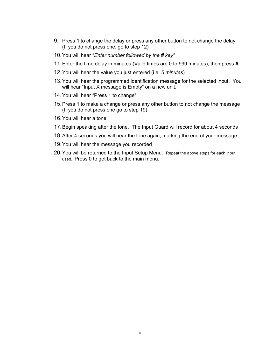- 9. Press 1 to change the delay or press any other button to not change the delay. (If you do not press one, go to step 12)
- 10. You will hear "Enter number followed by the # key"
- 11. Enter the time delay in minutes (Valid times are 0 to 999 minutes), then press #.
- 12. You will hear the value you just entered (i.e. 5 minutes)
- 13. You will hear the programmed identification message for the selected input. You will hear "Input X message is Empty" on a new unit.
- 14. You will hear "Press 1 to change"
- 15. Press 1 to make a change or press any other button to not change the message (If you do not press one go to step 19)
- 16. You will hear a tone
- 17. Begin speaking after the tone. The Input Guard will record for about 4 seconds
- 18. After 4 seconds you will hear the tone again, marking the end of your message
- 19. You will hear the message you recorded
- 20. You will be returned to the Input Setup Menu. Repeat the above steps for each input used. Press 0 to get back to the main menu.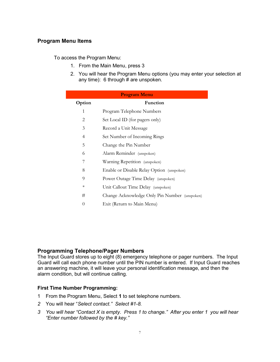## Program Menu Items

To access the Program Menu:

- 1. From the Main Menu, press 3
- 2. You will hear the Program Menu options (you may enter your selection at any time): 6 through  $#$  are unspoken.

| <b>Program Menu</b> |                                               |  |  |  |
|---------------------|-----------------------------------------------|--|--|--|
| Option              | Function                                      |  |  |  |
| 1                   | Program Telephone Numbers                     |  |  |  |
| 2                   | Set Local ID (for pagers only)                |  |  |  |
| 3                   | Record a Unit Message                         |  |  |  |
| 4                   | Set Number of Incoming Rings                  |  |  |  |
| 5                   | Change the Pin Number                         |  |  |  |
| 6                   | Alarm Reminder (unspoken)                     |  |  |  |
| 7                   | Warning Repetition (unspoken)                 |  |  |  |
| 8                   | Enable or Disable Relay Option (unspoken)     |  |  |  |
| 9                   | Power Outage Time Delay (unspoken)            |  |  |  |
| $\ast$              | Unit Callout Time Delay (unspoken)            |  |  |  |
| #                   | Change Acknowledge Only Pin Number (unspoken) |  |  |  |
| $\theta$            | Exit (Return to Main Menu)                    |  |  |  |

## Programming Telephone/Pager Numbers

The Input Guard stores up to eight (8) emergency telephone or pager numbers. The Input Guard will call each phone number until the PIN number is entered. If Input Guard reaches an answering machine, it will leave your personal identification message, and then the alarm condition, but will continue calling.

#### First Time Number Programming:

- 1 From the Program Menu, Select 1 to set telephone numbers.
- 2 You will hear "Select contact." Select #1-8.
- 3 You will hear "Contact X is empty. Press 1 to change." After you enter 1 you will hear "Enter number followed by the # key."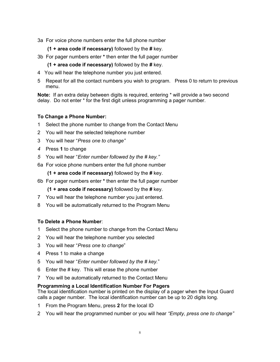3a For voice phone numbers enter the full phone number

 $(1 + \text{area code if necessary})$  followed by the # key.

- 3b For pager numbers enter \* then enter the full pager number
	- $(1 + \text{area code if necessary})$  followed by the # key.
- 4 You will hear the telephone number you just entered.
- 5 Repeat for all the contact numbers you wish to program. Press 0 to return to previous menu.

Note: If an extra delay between digits is required, entering \* will provide a two second delay. Do not enter \* for the first digit unless programming a pager number.

## To Change a Phone Number:

- 1 Select the phone number to change from the Contact Menu
- 2 You will hear the selected telephone number
- 3 You will hear "Press one to change"
- 4 Press 1 to change
- 5 You will hear "Enter number followed by the # key."
- 6a For voice phone numbers enter the full phone number

 $(1 + \text{area code if necessary})$  followed by the # key.

6b For pager numbers enter \* then enter the full pager number

 $(1 + \text{area code if necessary})$  followed by the # key.

- 7 You will hear the telephone number you just entered.
- 8 You will be automatically returned to the Program Menu

## To Delete a Phone Number:

- 1 Select the phone number to change from the Contact Menu
- 2 You will hear the telephone number you selected
- 3 You will hear "Press one to change"
- 4 Press 1 to make a change
- 5 You will hear "Enter number followed by the # key."
- 6 Enter the  $#$  key. This will erase the phone number
- 7 You will be automatically returned to the Contact Menu

## Programming a Local Identification Number For Pagers

The local identification number is printed on the display of a pager when the Input Guard calls a pager number. The local identification number can be up to 20 digits long.

- 1 From the Program Menu, press 2 for the local ID
- 2 You will hear the programmed number or you will hear "Empty, press one to change"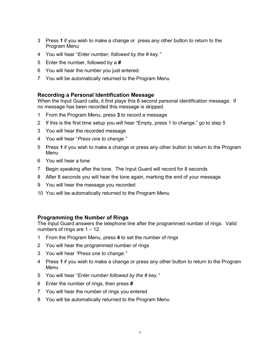- 3 Press 1 if you wish to make a change or press any other button to return to the Program Menu
- 4 You will hear "Enter number, followed by the # key."
- 5 Enter the number, followed by a #
- 6 You will hear the number you just entered.
- 7 You will be automatically returned to the Program Menu

## Recording a Personal Identification Message

When the Input Guard calls, it first plays this 8 second personal identification message. If no message has been recorded this message is skipped.

- 1 From the Program Menu, press 3 to record a message
- 2 If this is the first time setup you will hear "Empty, press 1 to change." go to step 5
- 3 You will hear the recorded message
- 4 You will hear "Press one to change."
- 5 Press 1 if you wish to make a change or press any other button to return to the Program Menu
- 6 You will hear a tone
- 7 Begin speaking after the tone. The Input Guard will record for 8 seconds
- 8 After 8 seconds you will hear the tone again, marking the end of your message
- 9 You will hear the message you recorded
- 10 You will be automatically returned to the Program Menu

## Programming the Number of Rings

The Input Guard answers the telephone line after the programmed number of rings. Valid numbers of rings are  $1 - 12$ .

- 1 From the Program Menu, press 4 to set the number of rings
- 2 You will hear the programmed number of rings
- 3 You will hear "Press one to change."
- 4 Press 1 if you wish to make a change or press any other button to return to the Program Menu
- 5 You will hear "Enter number followed by the # key."
- 6 Enter the number of rings, then press #
- 7 You will hear the number of rings you entered
- 8 You will be automatically returned to the Program Menu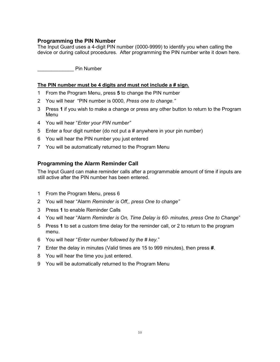## Programming the PIN Number

The Input Guard uses a 4-digit PIN number (0000-9999) to identify you when calling the device or during callout procedures. After programming the PIN number write it down here.

Pin Number

### The PIN number must be 4 digits and must not include a # sign.

- 1 From the Program Menu, press 5 to change the PIN number
- 2 You will hear "PIN number is 0000, Press one to change."
- 3 Press 1 if you wish to make a change or press any other button to return to the Program Menu
- 4 You will hear "Enter your PIN number"
- 5 Enter a four digit number (do not put a # anywhere in your pin number)
- 6 You will hear the PIN number you just entered
- 7 You will be automatically returned to the Program Menu

## Programming the Alarm Reminder Call

The Input Guard can make reminder calls after a programmable amount of time if inputs are still active after the PIN number has been entered.

- 1 From the Program Menu, press 6
- 2 You will hear "Alarm Reminder is Off., press One to change"
- 3 Press 1 to enable Reminder Calls
- 4 You will hear "Alarm Reminder is On, Time Delay is 60- minutes, press One to Change"
- 5 Press 1 to set a custom time delay for the reminder call, or 2 to return to the program menu.
- 6 You will hear "Enter number followed by the # key."
- 7 Enter the delay in minutes (Valid times are 15 to 999 minutes), then press #.
- 8 You will hear the time you just entered.
- 9 You will be automatically returned to the Program Menu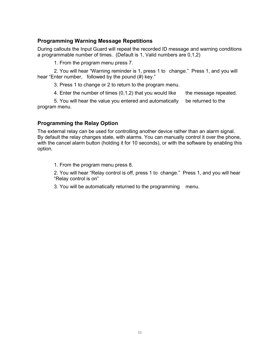## Programming Warning Message Repetitions

During callouts the Input Guard will repeat the recorded ID message and warning conditions a programmable number of times. (Default is 1, Valid numbers are 0,1,2)

1. From the program menu press 7.

 2. You will hear "Warning reminder is 1, press 1 to change." Press 1, and you will hear "Enter number, followed by the pound (#) key."

3. Press 1 to change or 2 to return to the program menu.

4. Enter the number of times  $(0,1,2)$  that you would like the message repeated.

 5. You will hear the value you entered and automatically be returned to the program menu.

## Programming the Relay Option

The external relay can be used for controlling another device rather than an alarm signal. By default the relay changes state, with alarms. You can manually control it over the phone, with the cancel alarm button (holding it for 10 seconds), or with the software by enabling this option.

1. From the program menu press 8.

 2. You will hear "Relay control is off, press 1 to change." Press 1, and you will hear "Relay control is on"

3. You will be automatically returned to the programming menu.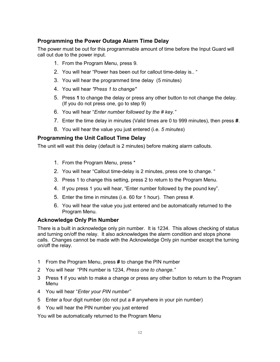## Programming the Power Outage Alarm Time Delay

The power must be out for this programmable amount of time before the Input Guard will call out due to the power input.

- 1. From the Program Menu, press 9.
- 2. You will hear "Power has been out for callout time-delay is.. "
- 3. You will hear the programmed time delay (5 minutes)
- 4. You will hear "Press 1 to change"
- 5. Press 1 to change the delay or press any other button to not change the delay. (If you do not press one, go to step 9)
- 6. You will hear "Enter number followed by the # key."
- 7. Enter the time delay in minutes (Valid times are 0 to 999 minutes), then press #.
- 8. You will hear the value you just entered (i.e. 5 minutes)

## Programming the Unit Callout Time Delay

The unit will wait this delay (default is 2 minutes) before making alarm callouts.

- 1. From the Program Menu, press \*
- 2. You will hear "Callout time-delay is 2 minutes, press one to change. "
- 3. Press 1 to change this setting, press 2 to return to the Program Menu.
- 4. If you press 1 you will hear, "Enter number followed by the pound key".
- 5. Enter the time in minutes (i.e. 60 for 1 hour). Then press #.
- 6. You will hear the value you just entered and be automatically returned to the Program Menu.

## Acknowledge Only Pin Number

There is a built in acknowledge only pin number. It is 1234. This allows checking of status and turning on/off the relay. It also acknowledges the alarm condition and stops phone calls. Changes cannot be made with the Acknowledge Only pin number except the turning on/off the relay.

- 1 From the Program Menu, press # to change the PIN number
- 2 You will hear "PIN number is 1234, Press one to change."
- 3 Press 1 if you wish to make a change or press any other button to return to the Program Menu
- 4 You will hear "Enter your PIN number"
- 5 Enter a four digit number (do not put a # anywhere in your pin number)
- 6 You will hear the PIN number you just entered

You will be automatically returned to the Program Menu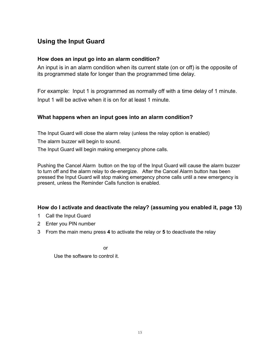## Using the Input Guard

## How does an input go into an alarm condition?

An input is in an alarm condition when its current state (on or off) is the opposite of its programmed state for longer than the programmed time delay.

For example: Input 1 is programmed as normally off with a time delay of 1 minute. Input 1 will be active when it is on for at least 1 minute.

## What happens when an input goes into an alarm condition?

The Input Guard will close the alarm relay (unless the relay option is enabled)

The alarm buzzer will begin to sound.

The Input Guard will begin making emergency phone calls.

Pushing the Cancel Alarm button on the top of the Input Guard will cause the alarm buzzer to turn off and the alarm relay to de-energize. After the Cancel Alarm button has been pressed the Input Guard will stop making emergency phone calls until a new emergency is present, unless the Reminder Calls function is enabled.

## How do I activate and deactivate the relay? (assuming you enabled it, page 13)

- 1 Call the Input Guard
- 2 Enter you PIN number
- 3 From the main menu press 4 to activate the relay or 5 to deactivate the relay

**or** *contract to the state of the state of the state of the state of the state of the state of the state of the state of the state of the state of the state of the state of the state of the state of the state of the stat* 

Use the software to control it.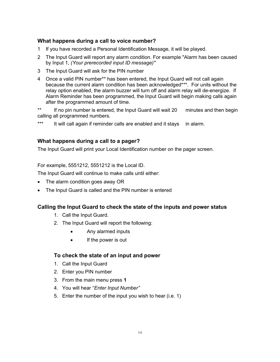## What happens during a call to voice number?

- 1 If you have recorded a Personal Identification Message, it will be played.
- 2 The Input Guard will report any alarm condition. For example "Alarm has been caused by Input 1, (Your prerecorded input ID message)"
- 3 The Input Guard will ask for the PIN number
- 4 Once a valid PIN number\*\* has been entered, the Input Guard will not call again because the current alarm condition has been acknowledged\*\*\*. For units without the relay option enabled, the alarm buzzer will turn off and alarm relay will de-energize. If Alarm Reminder has been programmed, the Input Guard will begin making calls again after the programmed amount of time.

\*\* If no pin number is entered, the Input Guard will wait 20 minutes and then begin calling all programmed numbers.

\*\*\* It will call again if reminder calls are enabled and it stays in alarm.

## What happens during a call to a pager?

The Input Guard will print your Local Identification number on the pager screen.

For example, 5551212, 5551212 is the Local ID.

The Input Guard will continue to make calls until either:

- The alarm condition goes away OR
- The Input Guard is called and the PIN number is entered

## Calling the Input Guard to check the state of the inputs and power status

- 1. Call the Input Guard.
- 2. The Input Guard will report the following:
	- Any alarmed inputs
	- If the power is out

## To check the state of an input and power

- 1. Call the Input Guard
- 2. Enter you PIN number
- 3. From the main menu press 1
- 4. You will hear "Enter Input Number"
- 5. Enter the number of the input you wish to hear (i.e. 1)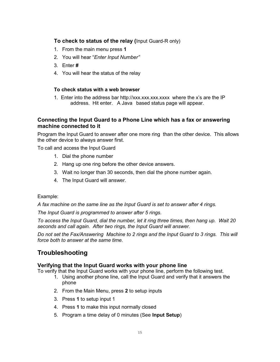## To check to status of the relay (Input Guard-R only)

- 1. From the main menu press 1
- 2. You will hear "Enter Input Number"
- 3. Enter #
- 4. You will hear the status of the relay

#### To check status with a web browser

 1. Enter into the address bar http://xxx.xxx.xxx.xxxx where the x's are the IP address. Hit enter. A Java based status page will appear.

## Connecting the Input Guard to a Phone Line which has a fax or answering machine connected to it

Program the Input Guard to answer after one more ring than the other device. This allows the other device to always answer first.

To call and access the Input Guard

- 1. Dial the phone number
- 2. Hang up one ring before the other device answers.
- 3. Wait no longer than 30 seconds, then dial the phone number again.
- 4. The Input Guard will answer.

#### Example:

A fax machine on the same line as the Input Guard is set to answer after 4 rings.

The Input Guard is programmed to answer after 5 rings.

To access the Input Guard, dial the number, let it ring three times, then hang up. Wait 20 seconds and call again. After two rings, the Input Guard will answer.

Do not set the Fax/Answering Machine to 2 rings and the Input Guard to 3 rings. This will force both to answer at the same time.

## Troubleshooting

## Verifying that the Input Guard works with your phone line

To verify that the Input Guard works with your phone line, perform the following test.

- 1. Using another phone line, call the Input Guard and verify that it answers the phone
- 2. From the Main Menu, press 2 to setup inputs
- 3. Press 1 to setup input 1
- 4. Press 1 to make this input normally closed
- 5. Program a time delay of 0 minutes (See Input Setup)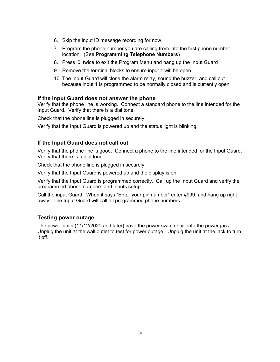- 6. Skip the input ID message recording for now.
- 7. Program the phone number you are calling from into the first phone number location. (See Programming Telephone Numbers)
- 8. Press '0' twice to exit the Program Menu and hang up the Input Guard
- 9. Remove the terminal blocks to ensure input 1 will be open
- 10. The Input Guard will close the alarm relay, sound the buzzer, and call out because input 1 is programmed to be normally closed and is currently open

## If the Input Guard does not answer the phone

Verify that the phone line is working. Connect a standard phone to the line intended for the Input Guard. Verify that there is a dial tone.

Check that the phone line is plugged in securely.

Verify that the Input Guard is powered up and the status light is blinking.

## If the Input Guard does not call out

Verify that the phone line is good. Connect a phone to the line intended for the Input Guard. Verify that there is a dial tone.

Check that the phone line is plugged in securely

Verify that the Input Guard is powered up and the display is on.

Verify that the Input Guard is programmed correctly. Call up the Input Guard and verify the programmed phone numbers and inputs setup.

Call the input Guard. When it says "Enter your pin number" enter #999 and hang up right away. The Input Guard will call all programmed phone numbers.

## Testing power outage

The newer units (11/12/2020 and later) have the power switch built into the power jack. Unplug the unit at the wall outlet to test for power outage. Unplug the unit at the jack to turn it off.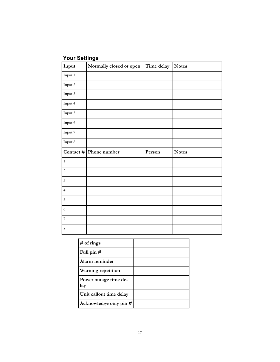## Your Settings

| Input          | Normally closed or open   | Time delay | <b>Notes</b> |
|----------------|---------------------------|------------|--------------|
| Input 1        |                           |            |              |
| Input 2        |                           |            |              |
| Input 3        |                           |            |              |
| Input 4        |                           |            |              |
| Input 5        |                           |            |              |
| Input 6        |                           |            |              |
| Input 7        |                           |            |              |
| Input 8        |                           |            |              |
|                |                           |            |              |
|                | Contact $\#$ Phone number | Person     | <b>Notes</b> |
| $\,1\,$        |                           |            |              |
| $\sqrt{2}$     |                           |            |              |
| $\overline{3}$ |                           |            |              |
| $\sqrt{4}$     |                           |            |              |
| $\sqrt{5}$     |                           |            |              |
| $\sqrt{6}$     |                           |            |              |
| $\overline{7}$ |                           |            |              |

| $#$ of rings                 |  |
|------------------------------|--|
| Full pin $#$                 |  |
| Alarm reminder               |  |
| <b>Warning repetition</b>    |  |
| Power outage time de-<br>lay |  |
| Unit callout time delay      |  |
| Acknowledge only pin #       |  |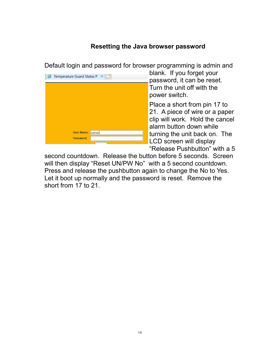## Resetting the Java browser password

Default login and password for browser programming is admin and



blank. If you forget your password, it can be reset. Turn the unit off with the power switch.

Place a short from pin 17 to 21. A piece of wire or a paper clip will work. Hold the cancel alarm button down while turning the unit back on. The LCD screen will display "Release Pushbutton" with a 5

second countdown. Release the button before 5 seconds. Screen will then display "Reset UN/PW No" with a 5 second countdown. Press and release the pushbutton again to change the No to Yes. Let it boot up normally and the password is reset. Remove the short from 17 to 21.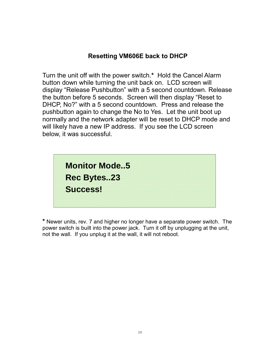## Resetting VM606E back to DHCP

Turn the unit off with the power switch.\* Hold the Cancel Alarm button down while turning the unit back on. LCD screen will display "Release Pushbutton" with a 5 second countdown. Release the button before 5 seconds. Screen will then display "Reset to DHCP, No?" with a 5 second countdown. Press and release the pushbutton again to change the No to Yes. Let the unit boot up normally and the network adapter will be reset to DHCP mode and will likely have a new IP address. If you see the LCD screen below, it was successful.

| <b>Monitor Mode5</b> |  |
|----------------------|--|
| <b>Rec Bytes23</b>   |  |
| Success!             |  |
|                      |  |

\* Newer units, rev. 7 and higher no longer have a separate power switch. The power switch is built into the power jack. Turn it off by unplugging at the unit, not the wall. If you unplug it at the wall, it will not reboot.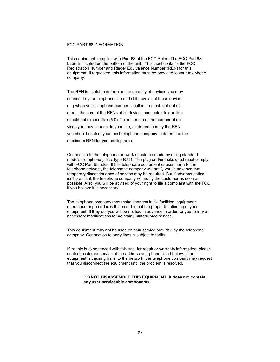#### FCC PART 68 INFORMATION

This equipment complies with Part 68 of the FCC Rules. The FCC Part 68 Label is located on the bottom of the unit. This label contains the FCC Registration Number and Ringer Equivalence Number (REN) for this equipment. If requested, this information must be provided to your telephone company.

The REN is useful to determine the quantity of devices you may connect to your telephone line and still have all of those device ring when your telephone number is called. In most, but not all areas, the sum of the RENs of all devices connected to one line should not exceed five (5.0). To be certain of the number of devices you may connect to your line, as determined by the REN, you should contact your local telephone company to determine the maximum REN for your calling area.

Connection to the telephone network should be made by using standard modular telephone jacks, type RJ11. The plug and/or jacks used must comply with FCC Part 68 rules. If this telephone equipment causes harm to the telephone network, the telephone company will notify you in advance that temporary discontinuance of service may be required. But if advance notice isn't practical, the telephone company will notify the customer as soon as possible. Also, you will be advised of your right to file a complaint with the FCC if you believe it is necessary.

The telephone company may make changes in it's facilities, equipment, operations or procedures that could affect the proper functioning of your equipment. If they do, you will be notified in advance in order for you to make necessary modifications to maintain uninterrupted service.

This equipment may not be used on coin service provided by the telephone company. Connection to party lines is subject to tariffs.

If trouble is experienced with this unit, for repair or warranty information, please contact customer service at the address and phone listed below. If the equipment is causing harm to the network, the telephone company may request that you disconnect the equipment until the problem is resolved.

#### DO NOT DISASSEMBLE THIS EQUIPMENT. It does not contain any user serviceable components.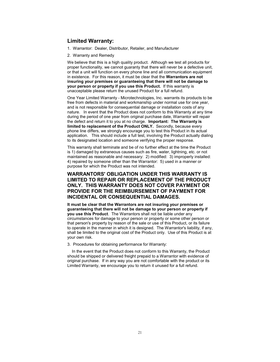#### Limited Warranty:

- 1. Warrantor: Dealer, Distributor, Retailer, and Manufacturer
- 2. Warranty and Remedy

We believe that this is a high quality product. Although we test all products for proper functionality, we cannot guaranty that there will never be a defective unit, or that a unit will function on every phone line and all communication equipment in existence. For this reason, it must be clear that the Warrantors are not insuring your premises or guaranteeing that there will not be damage to your person or property if you use this Product. If this warranty is unacceptable please return the unused Product for a full refund.

One Year Limited Warranty - Microtechnologies, Inc. warrants its products to be free from defects in material and workmanship under normal use for one year, and is not responsible for consequential damage or installation costs of any nature. In event that the Product does not conform to this Warranty at any time during the period of one year from original purchase date, Warrantor will repair the defect and return it to you at no charge. Important: The Warranty is limited to replacement of the Product ONLY. Secondly, because every phone line differs, we strongly encourage you to test this Product in its actual application. This should include a full test, involving the Product actually dialing to its designated location and someone verifying the proper response.

This warranty shall terminate and be of no further effect at the time the Product is 1) damaged by extraneous causes such as fire, water, lightning, etc. or not maintained as reasonable and necessary: 2) modified: 3) improperly installed: 4) repaired by someone other than the Warrantor: 5) used in a manner or purpose for which the Product was not intended.

#### WARRANTORS' OBLIGATION UNDER THIS WARRANTY IS LIMITED TO REPAIR OR REPLACEMENT OF THE PRODUCT ONLY. THIS WARRANTY DOES NOT COVER PAYMENT OR PROVIDE FOR THE REIMBURSEMENT OF PAYMENT FOR INCIDENTAL OR CONSEQUENTIAL DAMAGES.

It must be clear that the Warrantors are not insuring your premises or guaranteeing that there will not be damage to your person or property if you use this Product. The Warrantors shall not be liable under any circumstances for damage to your person or property or some other person or that person's property by reason of the sale or use of this Product, or its failure to operate in the manner in which it is designed. The Warrantor's liability, if any, shall be limited to the original cost of the Product only. Use of this Product is at your own risk.

3. Procedures for obtaining performance for Warranty:

 In the event that the Product does not conform to this Warranty, the Product should be shipped or delivered freight prepaid to a Warrantor with evidence of original purchase. If in any way you are not comfortable with the product or its Limited Warranty, we encourage you to return it unused for a full refund.